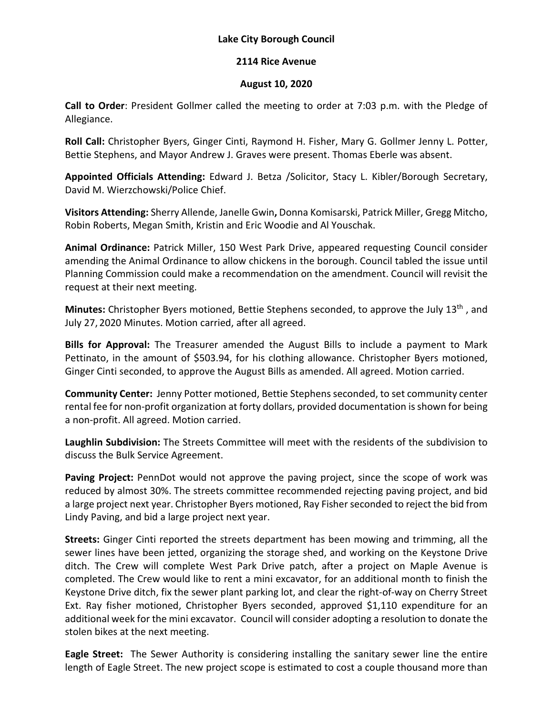## **Lake City Borough Council**

## **2114 Rice Avenue**

## **August 10, 2020**

**Call to Order**: President Gollmer called the meeting to order at 7:03 p.m. with the Pledge of Allegiance.

**Roll Call:** Christopher Byers, Ginger Cinti, Raymond H. Fisher, Mary G. Gollmer Jenny L. Potter, Bettie Stephens, and Mayor Andrew J. Graves were present. Thomas Eberle was absent.

**Appointed Officials Attending:** Edward J. Betza /Solicitor, Stacy L. Kibler/Borough Secretary, David M. Wierzchowski/Police Chief.

**Visitors Attending:** Sherry Allende, Janelle Gwin**,** Donna Komisarski, Patrick Miller, Gregg Mitcho, Robin Roberts, Megan Smith, Kristin and Eric Woodie and Al Youschak.

**Animal Ordinance:** Patrick Miller, 150 West Park Drive, appeared requesting Council consider amending the Animal Ordinance to allow chickens in the borough. Council tabled the issue until Planning Commission could make a recommendation on the amendment. Council will revisit the request at their next meeting.

**Minutes:** Christopher Byers motioned, Bettie Stephens seconded, to approve the July 13th , and July 27, 2020 Minutes. Motion carried, after all agreed.

**Bills for Approval:** The Treasurer amended the August Bills to include a payment to Mark Pettinato, in the amount of \$503.94, for his clothing allowance. Christopher Byers motioned, Ginger Cinti seconded, to approve the August Bills as amended. All agreed. Motion carried.

**Community Center:** Jenny Potter motioned, Bettie Stephens seconded, to set community center rental fee for non-profit organization at forty dollars, provided documentation is shown for being a non-profit. All agreed. Motion carried.

**Laughlin Subdivision:** The Streets Committee will meet with the residents of the subdivision to discuss the Bulk Service Agreement.

**Paving Project:** PennDot would not approve the paving project, since the scope of work was reduced by almost 30%. The streets committee recommended rejecting paving project, and bid a large project next year. Christopher Byers motioned, Ray Fisher seconded to reject the bid from Lindy Paving, and bid a large project next year.

**Streets:** Ginger Cinti reported the streets department has been mowing and trimming, all the sewer lines have been jetted, organizing the storage shed, and working on the Keystone Drive ditch. The Crew will complete West Park Drive patch, after a project on Maple Avenue is completed. The Crew would like to rent a mini excavator, for an additional month to finish the Keystone Drive ditch, fix the sewer plant parking lot, and clear the right-of-way on Cherry Street Ext. Ray fisher motioned, Christopher Byers seconded, approved \$1,110 expenditure for an additional week for the mini excavator. Council will consider adopting a resolution to donate the stolen bikes at the next meeting.

**Eagle Street:** The Sewer Authority is considering installing the sanitary sewer line the entire length of Eagle Street. The new project scope is estimated to cost a couple thousand more than